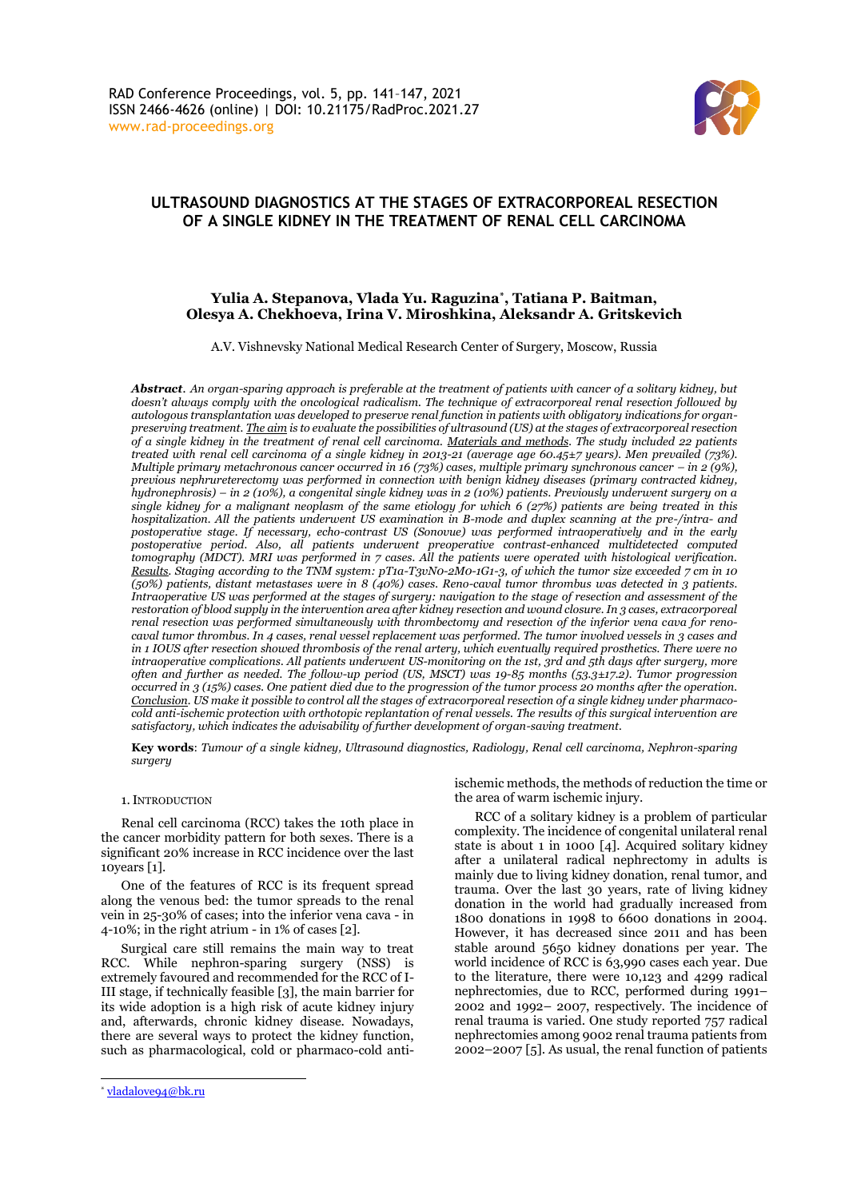

# **ULTRASOUND DIAGNOSTICS AT THE STAGES OF EXTRACORPOREAL RESECTION OF A SINGLE KIDNEY IN THE TREATMENT OF RENAL CELL CARCINOMA**

## **Yulia A. Stepanova, Vlada Yu. Raguzina\* , Tatiana P. Baitman, Olesya A. Chekhoeva, Irina V. Miroshkina, Aleksandr A. Gritskevich**

A.V. Vishnevsky National Medical Research Center of Surgery, Moscow, Russia

*Abstract*. *An organ-sparing approach is preferable at the treatment of patients with cancer of a solitary kidney, but doesn't always comply with the oncological radicalism. The technique of extracorporeal renal resection followed by autologous transplantation was developed to preserve renal function in patients with obligatory indications for organpreserving treatment. The aim is to evaluate the possibilities of ultrasound (US) at the stages of extracorporeal resection of a single kidney in the treatment of renal cell carcinoma. Materials and methods. The study included 22 patients treated with renal cell carcinoma of a single kidney in 2013-21 (average age 60.45±7 years). Men prevailed (73%). Multiple primary metachronous cancer occurred in 16 (73%) cases, multiple primary synchronous cancer – in 2 (9%), previous nephrureterectomy was performed in connection with benign kidney diseases (primary contracted kidney, hydronephrosis) – in 2 (10%), a congenital single kidney was in 2 (10%) patients. Previously underwent surgery on a single kidney for a malignant neoplasm of the same etiology for which 6 (27%) patients are being treated in this hospitalization. All the patients underwent US examination in B-mode and duplex scanning at the pre-/intra- and postoperative stage. If necessary, echo-contrast US (Sonovue) was performed intraoperatively and in the early postoperative period. Also, all patients underwent preoperative contrast-enhanced multidetected computed tomography (MDCT). MRI was performed in 7 cases. All the patients were operated with histological verification. Results. Staging according to the TNM system: pT1a-T3vN0-2M0-1G1-3, of which the tumor size exceeded 7 cm in 10 (50%) patients, distant metastases were in 8 (40%) cases. Reno-caval tumor thrombus was detected in 3 patients. Intraoperative US was performed at the stages of surgery: navigation to the stage of resection and assessment of the restoration of blood supply in the intervention area after kidney resection and wound closure. In 3 cases, extracorporeal renal resection was performed simultaneously with thrombectomy and resection of the inferior vena cava for renocaval tumor thrombus. In 4 cases, renal vessel replacement was performed. The tumor involved vessels in 3 cases and in 1 IOUS after resection showed thrombosis of the renal artery, which eventually required prosthetics. There were no intraoperative complications. All patients underwent US-monitoring on the 1st, 3rd and 5th days after surgery, more often and further as needed. The follow-up period (US, MSCT) was 19-85 months (53.3±17.2). Tumor progression occurred in 3 (15%) cases. One patient died due to the progression of the tumor process 20 months after the operation. Conclusion. US make it possible to control all the stages of extracorporeal resection of a single kidney under pharmacocold anti-ischemic protection with orthotopic replantation of renal vessels. The results of this surgical intervention are satisfactory, which indicates the advisability of further development of organ-saving treatment.*

**Key words**: *Tumour of a single kidney, Ultrasound diagnostics, Radiology, Renal cell carcinoma, Nephron-sparing surgery*

## 1.INTRODUCTION

Renal cell carcinoma (RCC) takes the 10th place in the cancer morbidity pattern for both sexes. There is a significant 20% increase in RCC incidence over the last 10years [1].

One of the features of RCC is its frequent spread along the venous bed: the tumor spreads to the renal vein in 25-30% of cases; into the inferior vena cava - in 4-10%; in the right atrium - in 1% of cases [2].

Surgical care still remains the main way to treat RCC. While nephron-sparing surgery (NSS) is extremely favoured and recommended for the RCC of I-III stage, if technically feasible [3], the main barrier for its wide adoption is a high risk of acute kidney injury and, afterwards, chronic kidney disease. Nowadays, there are several ways to protect the kidney function, such as pharmacological, cold or pharmaco-cold anti-

RCC of a solitary kidney is a problem of particular complexity. The incidence of congenital unilateral renal state is about 1 in 1000 [4]. Acquired solitary kidney after a unilateral radical nephrectomy in adults is mainly due to living kidney donation, renal tumor, and trauma. Over the last 30 years, rate of living kidney donation in the world had gradually increased from 1800 donations in 1998 to 6600 donations in 2004. However, it has decreased since 2011 and has been stable around 5650 kidney donations per year. The world incidence of RCC is 63,990 cases each year. Due to the literature, there were 10,123 and 4299 radical nephrectomies, due to RCC, performed during 1991– 2002 and 1992– 2007, respectively. The incidence of renal trauma is varied. One study reported 757 radical nephrectomies among 9002 renal trauma patients from 2002–2007 [5]. As usual, the renal function of patients

ischemic methods, the methods of reduction the time or the area of warm ischemic injury.

<sup>\*</sup> [vladalove94@bk.ru](mailto:vladalove94@bk.ru)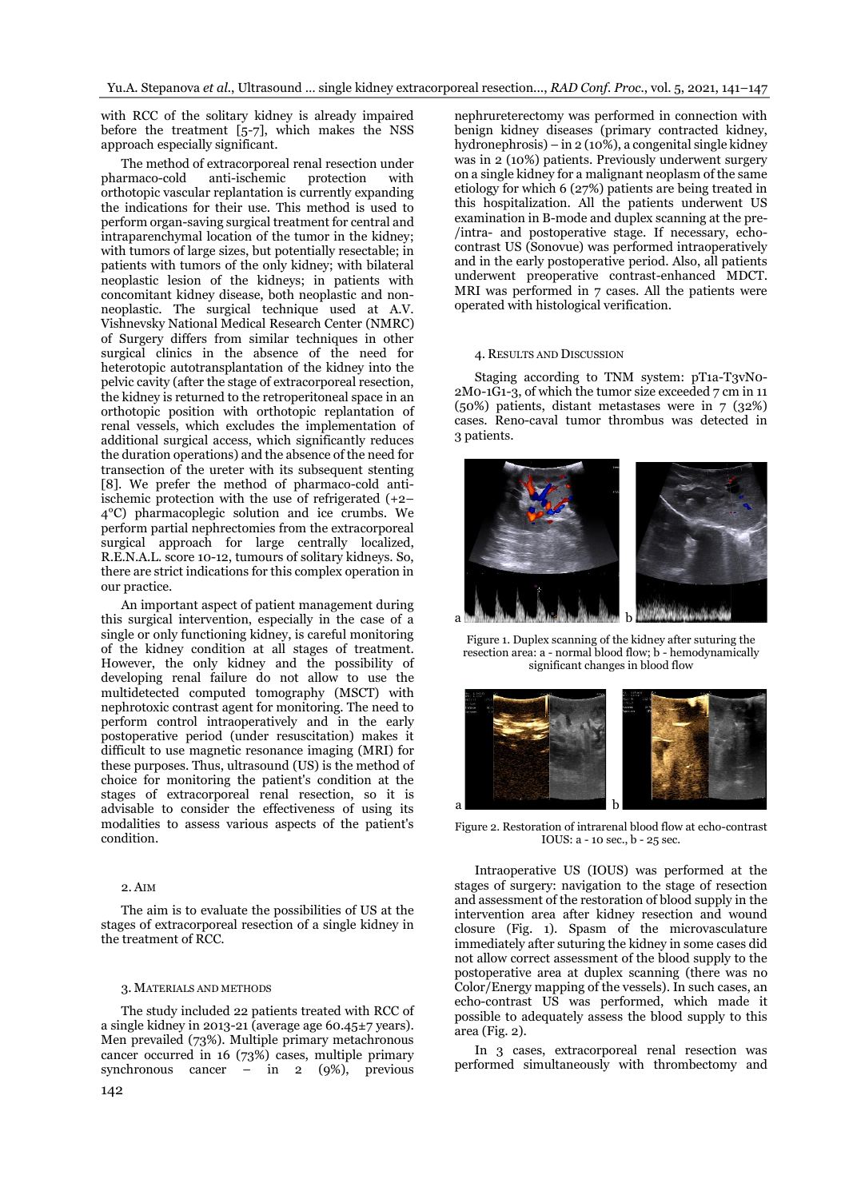with RCC of the solitary kidney is already impaired before the treatment [5-7], which makes the NSS approach especially significant.

The method of extracorporeal renal resection under pharmaco-cold anti-ischemic protection with orthotopic vascular replantation is currently expanding the indications for their use. This method is used to perform organ-saving surgical treatment for central and intraparenchymal location of the tumor in the kidney; with tumors of large sizes, but potentially resectable; in patients with tumors of the only kidney; with bilateral neoplastic lesion of the kidneys; in patients with concomitant kidney disease, both neoplastic and nonneoplastic. The surgical technique used at A.V. Vishnevsky National Medical Research Center (NMRC) of Surgery differs from similar techniques in other surgical clinics in the absence of the need for heterotopic autotransplantation of the kidney into the pelvic cavity (after the stage of extracorporeal resection, the kidney is returned to the retroperitoneal space in an orthotopic position with orthotopic replantation of renal vessels, which excludes the implementation of additional surgical access, which significantly reduces the duration operations) and the absence of the need for transection of the ureter with its subsequent stenting [8]. We prefer the method of pharmaco-cold antiischemic protection with the use of refrigerated (+2– 4°С) pharmacoplegic solution and ice crumbs. We perform partial nephrectomies from the extracorporeal surgical approach for large centrally localized, R.E.N.A.L. score 10-12, tumours of solitary kidneys. So, there are strict indications for this complex operation in our practice.

An important aspect of patient management during this surgical intervention, especially in the case of a single or only functioning kidney, is careful monitoring of the kidney condition at all stages of treatment. However, the only kidney and the possibility of developing renal failure do not allow to use the multidetected computed tomography (MSCT) with nephrotoxic contrast agent for monitoring. The need to perform control intraoperatively and in the early postoperative period (under resuscitation) makes it difficult to use magnetic resonance imaging (MRI) for these purposes. Thus, ultrasound (US) is the method of choice for monitoring the patient's condition at the stages of extracorporeal renal resection, so it is advisable to consider the effectiveness of using its modalities to assess various aspects of the patient's condition.

## 2. AIM

The aim is to evaluate the possibilities of US at the stages of extracorporeal resection of a single kidney in the treatment of RCC.

## 3. MATERIALS AND METHODS

The study included 22 patients treated with RCC of a single kidney in 2013-21 (average age 60.45±7 years). Men prevailed (73%). Multiple primary metachronous cancer occurred in 16 (73%) cases, multiple primary synchronous cancer – in  $2 \left(9\% \right)$ , previous

nephrureterectomy was performed in connection with benign kidney diseases (primary contracted kidney, hydronephrosis) – in 2 (10%), a congenital single kidney was in 2 (10%) patients. Previously underwent surgery on a single kidney for a malignant neoplasm of the same etiology for which 6 (27%) patients are being treated in this hospitalization. All the patients underwent US examination in B-mode and duplex scanning at the pre- /intra- and postoperative stage. If necessary, echocontrast US (Sonovue) was performed intraoperatively and in the early postoperative period. Also, all patients underwent preoperative contrast-enhanced MDCT. MRI was performed in 7 cases. All the patients were operated with histological verification.

#### 4. RESULTS AND DISCUSSION

Staging according to TNM system: pT1a-T3vN0- 2M0-1G1-3, of which the tumor size exceeded 7 cm in 11 (50%) patients, distant metastases were in 7 (32%) cases. Reno-caval tumor thrombus was detected in 3 patients.



Figure 1. Duplex scanning of the kidney after suturing the resection area: a - normal blood flow; b - hemodynamically significant changes in blood flow



Figure 2. Restoration of intrarenal blood flow at echo-contrast IOUS: a - 10 sec., b - 25 sec.

Intraoperative US (IOUS) was performed at the stages of surgery: navigation to the stage of resection and assessment of the restoration of blood supply in the intervention area after kidney resection and wound closure (Fig. 1). Spasm of the microvasculature immediately after suturing the kidney in some cases did not allow correct assessment of the blood supply to the postoperative area at duplex scanning (there was no Color/Energy mapping of the vessels). In such cases, an echo-contrast US was performed, which made it possible to adequately assess the blood supply to this area (Fig. 2).

In 3 cases, extracorporeal renal resection was performed simultaneously with thrombectomy and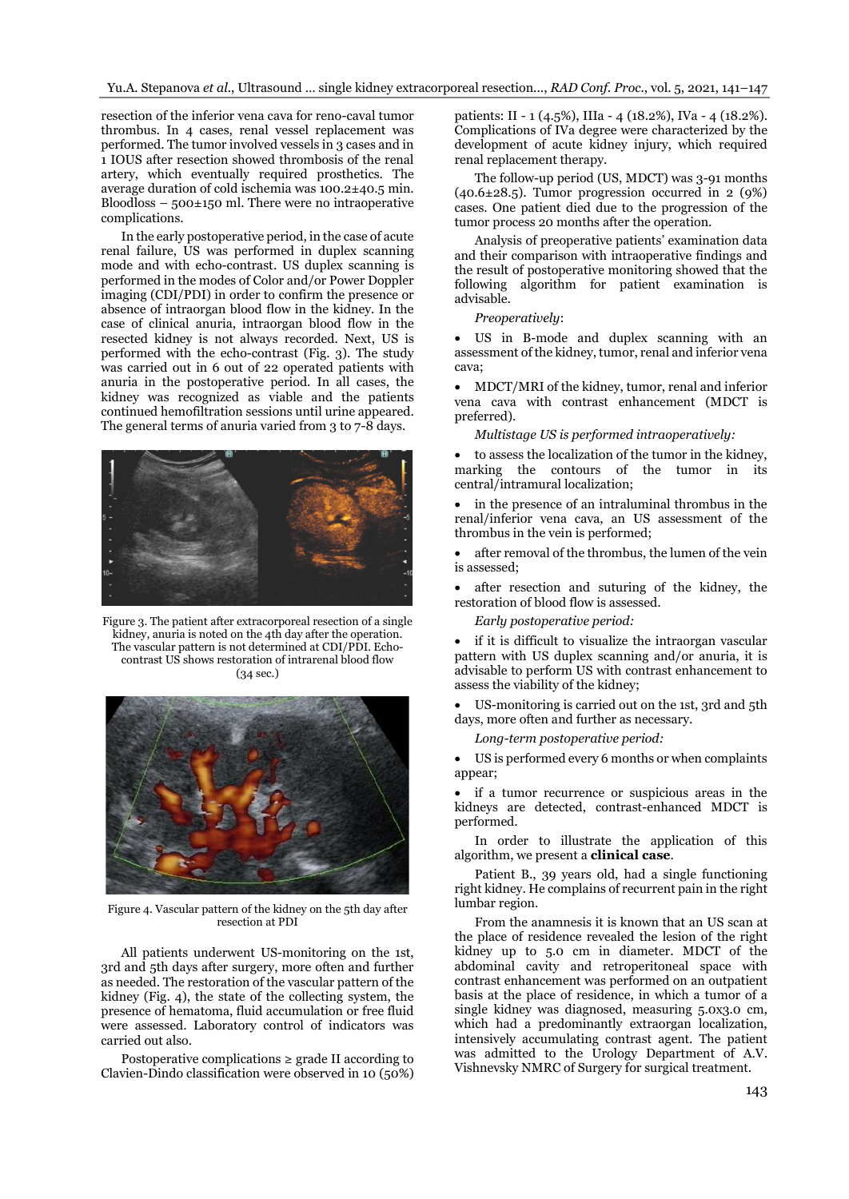resection of the inferior vena cava for reno-caval tumor thrombus. In 4 cases, renal vessel replacement was performed. The tumor involved vessels in 3 cases and in 1 IOUS after resection showed thrombosis of the renal artery, which eventually required prosthetics. The average duration of cold ischemia was 100.2±40.5 min. Bloodloss –  $500\pm150$  ml. There were no intraoperative complications.

In the early postoperative period, in the case of acute renal failure, US was performed in duplex scanning mode and with echo-contrast. US duplex scanning is performed in the modes of Color and/or Power Doppler imaging (CDI/PDI) in order to confirm the presence or absence of intraorgan blood flow in the kidney. In the case of clinical anuria, intraorgan blood flow in the resected kidney is not always recorded. Next, US is performed with the echo-contrast (Fig. 3). The study was carried out in 6 out of 22 operated patients with anuria in the postoperative period. In all cases, the kidney was recognized as viable and the patients continued hemofiltration sessions until urine appeared. The general terms of anuria varied from 3 to 7-8 days.



Figure 3. The patient after extracorporeal resection of a single kidney, anuria is noted on the 4th day after the operation. The vascular pattern is not determined at CDI/PDI. Echocontrast US shows restoration of intrarenal blood flow (34 sec.)



Figure 4. Vascular pattern of the kidney on the 5th day after resection at PDI

All patients underwent US-monitoring on the 1st, 3rd and 5th days after surgery, more often and further as needed. The restoration of the vascular pattern of the kidney (Fig. 4), the state of the collecting system, the presence of hematoma, fluid accumulation or free fluid were assessed. Laboratory control of indicators was carried out also.

Postoperative complications  $\geq$  grade II according to Clavien-Dindo classification were observed in 10 (50%) patients: II - 1 (4.5%), IIIa - 4 (18.2%), IVa - 4 (18.2%). Complications of IVa degree were characterized by the development of acute kidney injury, which required renal replacement therapy.

The follow-up period (US, MDCT) was 3-91 months  $(40.6\pm 28.5)$ . Tumor progression occurred in 2 (9%) cases. One patient died due to the progression of the tumor process 20 months after the operation.

Analysis of preoperative patients' examination data and their comparison with intraoperative findings and the result of postoperative monitoring showed that the following algorithm for patient examination is advisable.

## *Preoperatively*:

• US in B-mode and duplex scanning with an assessment of the kidney, tumor, renal and inferior vena cava;

• MDCT/MRI of the kidney, tumor, renal and inferior vena cava with contrast enhancement (MDCT is preferred).

*Multistage US is performed intraoperatively:*

• to assess the localization of the tumor in the kidney, marking the contours of the tumor in its central/intramural localization;

in the presence of an intraluminal thrombus in the renal/inferior vena cava, an US assessment of the thrombus in the vein is performed;

• after removal of the thrombus, the lumen of the vein is assessed;

after resection and suturing of the kidney, the restoration of blood flow is assessed.

*Early postoperative period:*

if it is difficult to visualize the intraorgan vascular pattern with US duplex scanning and/or anuria, it is advisable to perform US with contrast enhancement to assess the viability of the kidney;

• US-monitoring is carried out on the 1st, 3rd and 5th days, more often and further as necessary.

*Long-term postoperative period:*

• US is performed every 6 months or when complaints appear;

• if a tumor recurrence or suspicious areas in the kidneys are detected, contrast-enhanced MDCT is performed.

In order to illustrate the application of this algorithm, we present a **clinical case**.

Patient B., 39 years old, had a single functioning right kidney. He complains of recurrent pain in the right lumbar region.

From the anamnesis it is known that an US scan at the place of residence revealed the lesion of the right kidney up to 5.0 cm in diameter. MDCT of the abdominal cavity and retroperitoneal space with contrast enhancement was performed on an outpatient basis at the place of residence, in which a tumor of a single kidney was diagnosed, measuring 5.0x3.0 cm, which had a predominantly extraorgan localization, intensively accumulating contrast agent. The patient was admitted to the Urology Department of A.V. Vishnevsky NMRC of Surgery for surgical treatment.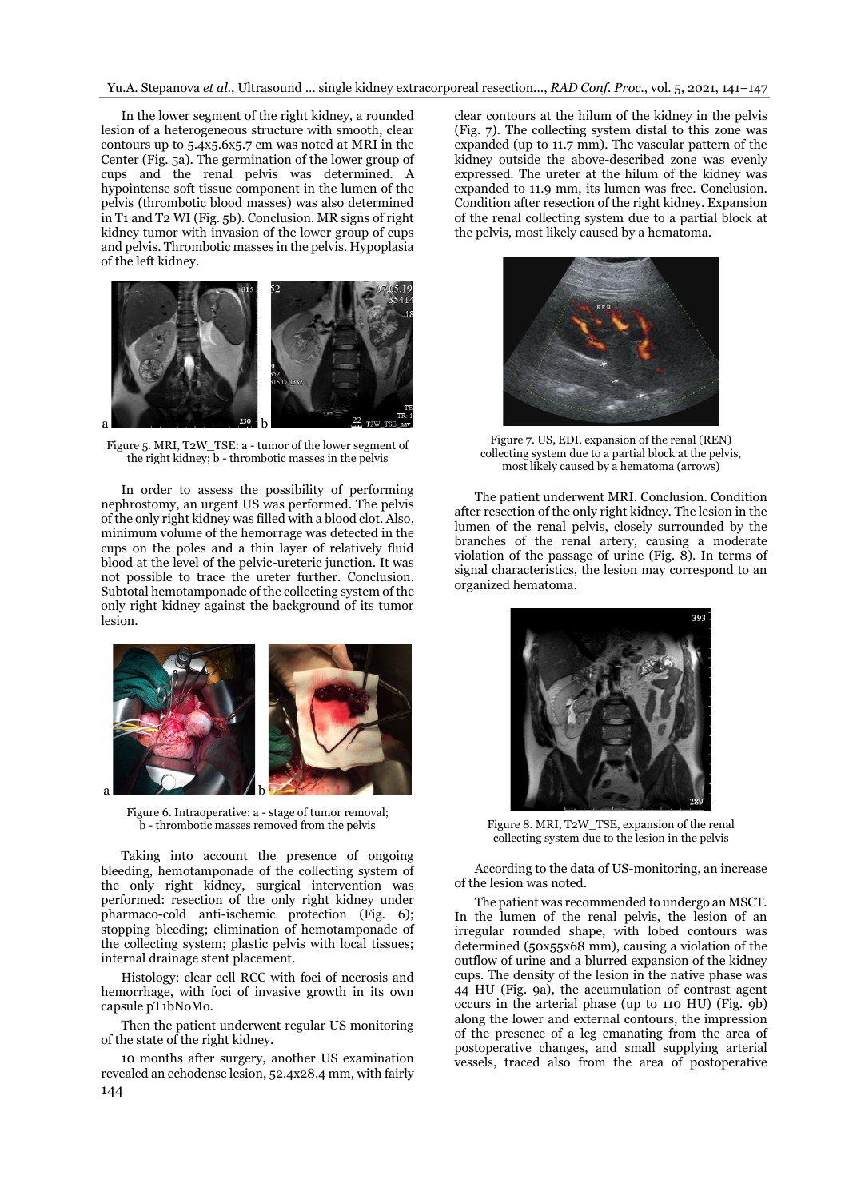Yu.A. Stepanova *et al.*, Ultrasound … single kidney extracorporeal resection..., *RAD Conf. Proc.*, vol. 5, 2021, 141–147

In the lower segment of the right kidney, a rounded lesion of a heterogeneous structure with smooth, clear contours up to 5.4x5.6x5.7 cm was noted at MRI in the Center (Fig. 5a). The germination of the lower group of cups and the renal pelvis was determined. A hypointense soft tissue component in the lumen of the pelvis (thrombotic blood masses) was also determined in T1 and T2 WI (Fig. 5b). Conclusion. MR signs of right kidney tumor with invasion of the lower group of cups and pelvis. Thrombotic masses in the pelvis. Hypoplasia of the left kidney.



Figure 5. MRI, T2W\_TSE: a - tumor of the lower segment of the right kidney; b - thrombotic masses in the pelvis

In order to assess the possibility of performing nephrostomy, an urgent US was performed. The pelvis of the only right kidney was filled with a blood clot. Also, minimum volume of the hemorrage was detected in the cups on the poles and a thin layer of relatively fluid blood at the level of the pelvic-ureteric junction. It was not possible to trace the ureter further. Conclusion. Subtotal hemotamponade of the collecting system of the only right kidney against the background of its tumor lesion.



Figure 6. Intraoperative: a - stage of tumor removal; b - thrombotic masses removed from the pelvis

Taking into account the presence of ongoing bleeding, hemotamponade of the collecting system of the only right kidney, surgical intervention was performed: resection of the only right kidney under pharmaco-cold anti-ischemic protection (Fig. 6); stopping bleeding; elimination of hemotamponade of the collecting system; plastic pelvis with local tissues; internal drainage stent placement.

Histology: clear cell RCC with foci of necrosis and hemorrhage, with foci of invasive growth in its own capsule pT1bNoMo.

Then the patient underwent regular US monitoring of the state of the right kidney.

144 10 months after surgery, another US examination revealed an echodense lesion, 52.4x28.4 mm, with fairly

clear contours at the hilum of the kidney in the pelvis (Fig. 7). The collecting system distal to this zone was expanded (up to 11.7 mm). The vascular pattern of the kidney outside the above-described zone was evenly expressed. The ureter at the hilum of the kidney was expanded to 11.9 mm, its lumen was free. Conclusion. Condition after resection of the right kidney. Expansion of the renal collecting system due to a partial block at the pelvis, most likely caused by a hematoma.



Figure 7. US, EDI, expansion of the renal (REN) collecting system due to a partial block at the pelvis, most likely caused by a hematoma (arrows)

The patient underwent MRI. Conclusion. Condition after resection of the only right kidney. The lesion in the lumen of the renal pelvis, closely surrounded by the branches of the renal artery, causing a moderate violation of the passage of urine (Fig. 8). In terms of signal characteristics, the lesion may correspond to an organized hematoma.



Figure 8. MRI, T2W\_TSE, expansion of the renal collecting system due to the lesion in the pelvis

According to the data of US-monitoring, an increase of the lesion was noted.

The patient was recommended to undergo an MSCT. In the lumen of the renal pelvis, the lesion of an irregular rounded shape, with lobed contours was determined (50x55x68 mm), causing a violation of the outflow of urine and a blurred expansion of the kidney cups. The density of the lesion in the native phase was 44 HU (Fig. 9a), the accumulation of contrast agent occurs in the arterial phase (up to 110 HU) (Fig. 9b) along the lower and external contours, the impression of the presence of a leg emanating from the area of postoperative changes, and small supplying arterial vessels, traced also from the area of postoperative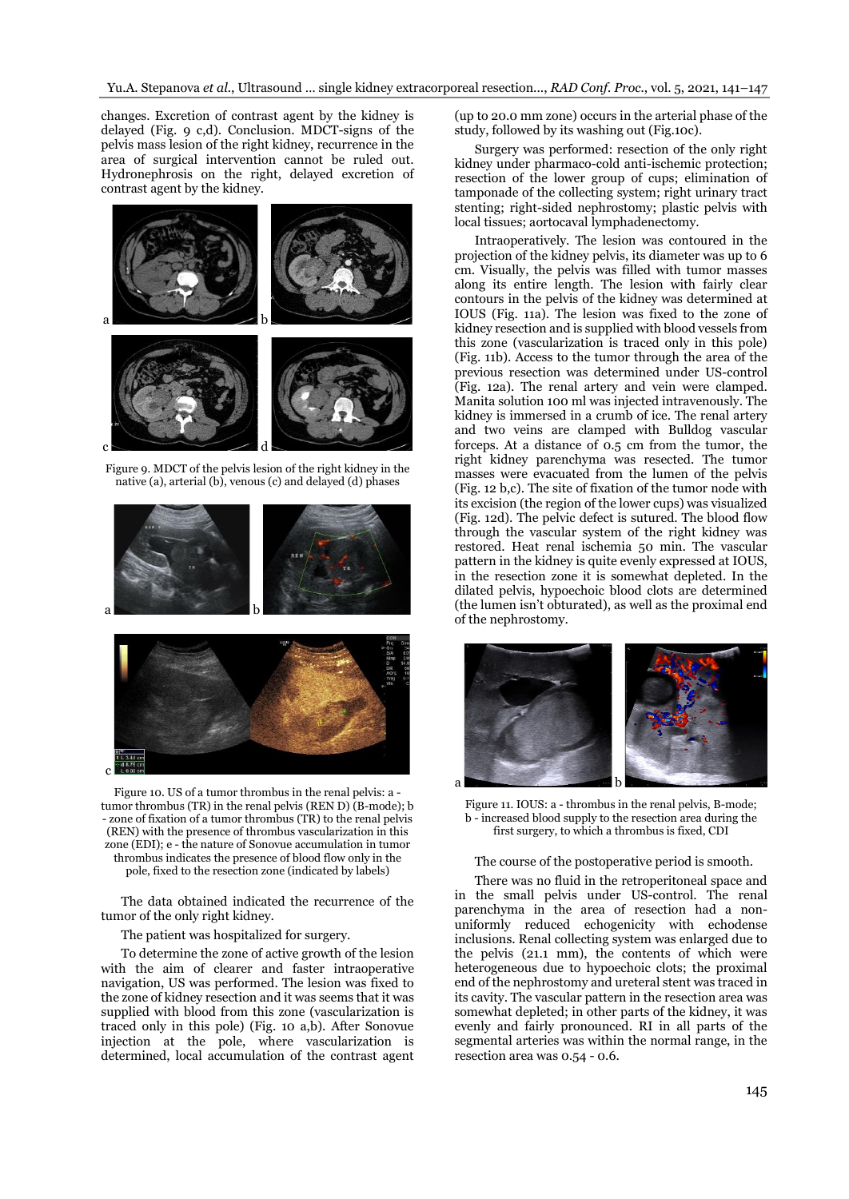changes. Excretion of contrast agent by the kidney is delayed (Fig. 9 c,d). Conclusion. MDCT-signs of the pelvis mass lesion of the right kidney, recurrence in the area of surgical intervention cannot be ruled out. Hydronephrosis on the right, delayed excretion of contrast agent by the kidney.



Figure 9. MDCT of the pelvis lesion of the right kidney in the native (a), arterial (b), venous (c) and delayed (d) phases



Figure 10. US of a tumor thrombus in the renal pelvis: a tumor thrombus (TR) in the renal pelvis (REN D) (B-mode); b - zone of fixation of a tumor thrombus (TR) to the renal pelvis (REN) with the presence of thrombus vascularization in this zone (EDI); e - the nature of Sonovue accumulation in tumor thrombus indicates the presence of blood flow only in the pole, fixed to the resection zone (indicated by labels)

The data obtained indicated the recurrence of the tumor of the only right kidney.

The patient was hospitalized for surgery.

To determine the zone of active growth of the lesion with the aim of clearer and faster intraoperative navigation, US was performed. The lesion was fixed to the zone of kidney resection and it was seems that it was supplied with blood from this zone (vascularization is traced only in this pole) (Fig. 10 a,b). After Sonovue injection at the pole, where vascularization is determined, local accumulation of the contrast agent

(up to 20.0 mm zone) occurs in the arterial phase of the study, followed by its washing out (Fig.10c).

Surgery was performed: resection of the only right kidney under pharmaco-cold anti-ischemic protection; resection of the lower group of cups; elimination of tamponade of the collecting system; right urinary tract stenting; right-sided nephrostomy; plastic pelvis with local tissues; aortocaval lymphadenectomy.

Intraoperatively. The lesion was contoured in the projection of the kidney pelvis, its diameter was up to 6 cm. Visually, the pelvis was filled with tumor masses along its entire length. The lesion with fairly clear contours in the pelvis of the kidney was determined at IOUS (Fig. 11a). The lesion was fixed to the zone of kidney resection and is supplied with blood vessels from this zone (vascularization is traced only in this pole) (Fig. 11b). Access to the tumor through the area of the previous resection was determined under US-control (Fig. 12a). The renal artery and vein were clamped. Manita solution 100 ml was injected intravenously. The kidney is immersed in a crumb of ice. The renal artery and two veins are clamped with Bulldog vascular forceps. At a distance of 0.5 cm from the tumor, the right kidney parenchyma was resected. The tumor masses were evacuated from the lumen of the pelvis (Fig. 12 b,c). The site of fixation of the tumor node with its excision (the region of the lower cups) was visualized (Fig. 12d). The pelvic defect is sutured. The blood flow through the vascular system of the right kidney was restored. Heat renal ischemia 50 min. The vascular pattern in the kidney is quite evenly expressed at IOUS, in the resection zone it is somewhat depleted. In the dilated pelvis, hypoechoic blood clots are determined (the lumen isn't obturated), as well as the proximal end of the nephrostomy.



Figure 11. IOUS: a - thrombus in the renal pelvis, B-mode; b - increased blood supply to the resection area during the first surgery, to which a thrombus is fixed, CDI

#### The course of the postoperative period is smooth.

There was no fluid in the retroperitoneal space and in the small pelvis under US-control. The renal parenchyma in the area of resection had a nonuniformly reduced echogenicity with echodense inclusions. Renal collecting system was enlarged due to the pelvis (21.1 mm), the contents of which were heterogeneous due to hypoechoic clots; the proximal end of the nephrostomy and ureteral stent was traced in its cavity. The vascular pattern in the resection area was somewhat depleted; in other parts of the kidney, it was evenly and fairly pronounced. RI in all parts of the segmental arteries was within the normal range, in the resection area was 0.54 - 0.6.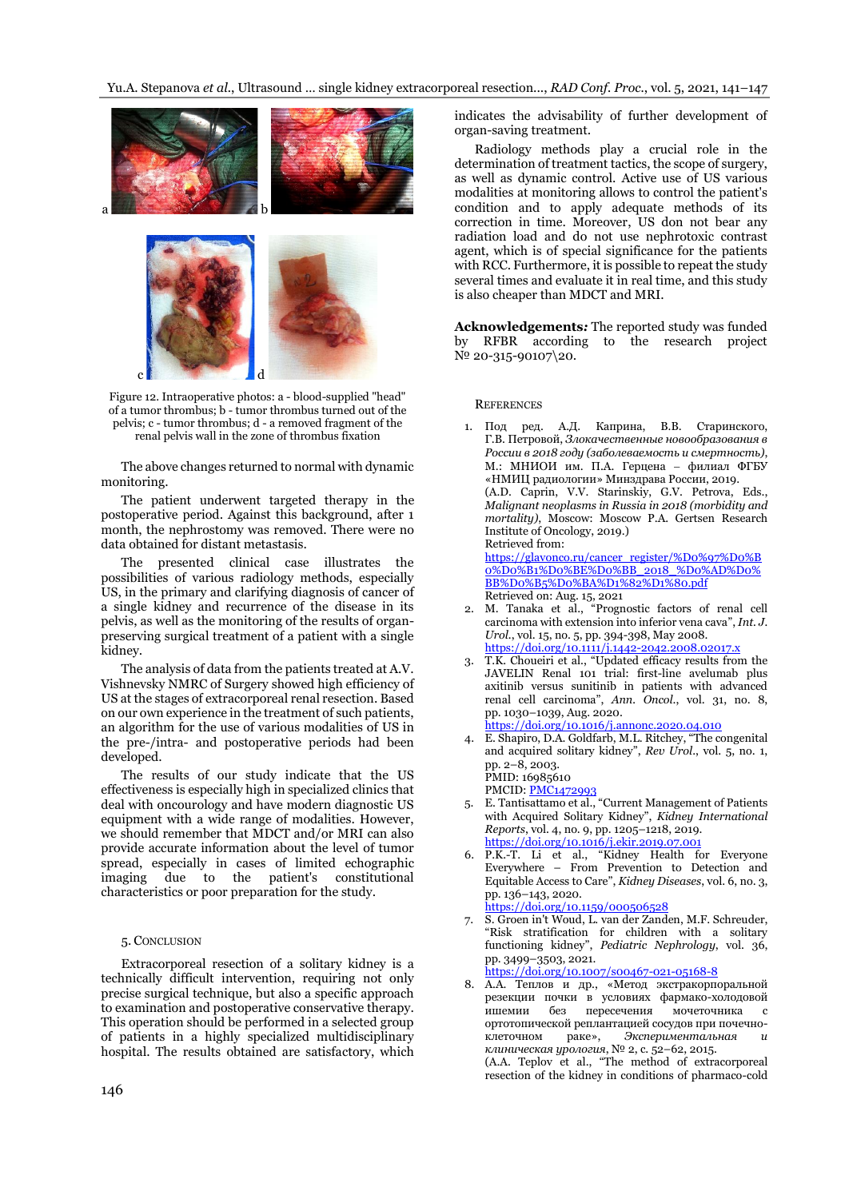Yu.A. Stepanova *et al.*, Ultrasound … single kidney extracorporeal resection..., *RAD Conf. Proc.*, vol. 5, 2021, 141–147



Figure 12. Intraoperative photos: a - blood-supplied "head" of a tumor thrombus; b - tumor thrombus turned out of the pelvis; c - tumor thrombus; d - a removed fragment of the renal pelvis wall in the zone of thrombus fixation

The above changes returned to normal with dynamic monitoring.

The patient underwent targeted therapy in the postoperative period. Against this background, after 1 month, the nephrostomy was removed. There were no data obtained for distant metastasis.

The presented clinical case illustrates the possibilities of various radiology methods, especially US, in the primary and clarifying diagnosis of cancer of a single kidney and recurrence of the disease in its pelvis, as well as the monitoring of the results of organpreserving surgical treatment of a patient with a single kidney.

The analysis of data from the patients treated at A.V. Vishnevsky NMRC of Surgery showed high efficiency of US at the stages of extracorporeal renal resection. Based on our own experience in the treatment of such patients, an algorithm for the use of various modalities of US in the pre-/intra- and postoperative periods had been developed.

The results of our study indicate that the US effectiveness is especially high in specialized clinics that deal with oncourology and have modern diagnostic US equipment with a wide range of modalities. However, we should remember that MDCT and/or MRI can also provide accurate information about the level of tumor spread, especially in cases of limited echographic imaging due to the patient's constitutional characteristics or poor preparation for the study.

## 5. CONCLUSION

Extracorporeal resection of a solitary kidney is a technically difficult intervention, requiring not only precise surgical technique, but also a specific approach to examination and postoperative conservative therapy. This operation should be performed in a selected group of patients in a highly specialized multidisciplinary hospital. The results obtained are satisfactory, which indicates the advisability of further development of organ-saving treatment.

Radiology methods play a crucial role in the determination of treatment tactics, the scope of surgery, as well as dynamic control. Active use of US various modalities at monitoring allows to control the patient's condition and to apply adequate methods of its correction in time. Moreover, US don not bear any radiation load and do not use nephrotoxic contrast agent, which is of special significance for the patients with RCC. Furthermore, it is possible to repeat the study several times and evaluate it in real time, and this study is also cheaper than MDCT and MRI.

**Acknowledgements***:* The reported study was funded by RFBR according to the research project № 20-315-90107\20.

## **REFERENCES**

- 1. Под ред. А.Д. Каприна, В.В. Старинского, Г.В. Петровой, *Злокачественные новообразования в России в 2018 году (заболеваемость и смертность)*, М.: МНИОИ им. П.А. Герцена − филиал ФГБУ «НМИЦ радиологии» Минздрава России, 2019. (A.D. Caprin, V.V. Starinskiy, G.V. Petrova, Eds., *Malignant neoplasms in Russia in 2018 (morbidity and mortality)*, Moscow: Moscow P.A. Gertsen Research Institute of Oncology, 2019.) Retrieved from: [https://glavonco.ru/cancer\\_register/%D0%97%D0%B](https://glavonco.ru/cancer_register/%D0%97%D0%B0%D0%B1%D0%BE%D0%BB_2018_%D0%AD%D0%BB%D0%B5%D0%BA%D1%82%D1%80.pdf) [0%D0%B1%D0%BE%D0%BB\\_2018\\_%D0%AD%D0%](https://glavonco.ru/cancer_register/%D0%97%D0%B0%D0%B1%D0%BE%D0%BB_2018_%D0%AD%D0%BB%D0%B5%D0%BA%D1%82%D1%80.pdf) [BB%D0%B5%D0%BA%D1%82%D1%80.pdf](https://glavonco.ru/cancer_register/%D0%97%D0%B0%D0%B1%D0%BE%D0%BB_2018_%D0%AD%D0%BB%D0%B5%D0%BA%D1%82%D1%80.pdf) Retrieved on: Aug. 15, 2021 2. M. Tanaka et al., "Prognostic factors of renal cell
- carcinoma with extension into inferior vena cava", *Int. J. Urol.*, vol. 15, no. 5, pp. 394-398, May 2008. <https://doi.org/10.1111/j.1442-2042.2008.02017.x>
- 3. T.K. Choueiri et al., "Updated efficacy results from the JAVELIN Renal 101 trial: first-line avelumab plus axitinib versus sunitinib in patients with advanced renal cell carcinoma", *Ann. Oncol*., vol. 31, no. 8, pp. 1030–1039, Aug. 2020. <https://doi.org/10.1016/j.annonc.2020.04.010>
- 4. E. Shapiro, D.A. Goldfarb, M.L. Ritchey, "The congenital and acquired solitary kidney", *Rev Urol*., vol. 5, no. 1, pp. 2–8, 2003. PMID: 16985610 PMCID[: PMC1472993](http://www.ncbi.nlm.nih.gov/pmc/articles/pmc1472993/)
- 5. E. Tantisattamo et al., "Current Management of Patients with Acquired Solitary Kidney", *Kidney International Reports*, vol. 4, no. 9, pp. 1205–1218, 2019. <https://doi.org/10.1016/j.ekir.2019.07.001>
- P.K.-T. Li et al., "Kidney Health for Everyone Everywhere – From Prevention to Detection and Equitable Access to Care", *Kidney Diseases*, vol. 6, no. 3, pp. 136–143, 2020.
	- <https://doi.org/10.1159/000506528>
- 7. S. Groen in't Woud, L. van der Zanden, M.F. Schreuder, "Risk stratification for children with a solitary functioning kidney", *Pediatric Nephrology*, vol. 36, pp. 3499–3503, 2021.

<https://doi.org/10.1007/s00467-021-05168-8>

8. А.А. Теплов и др., «Метод экстракорпоральной резекции почки в условиях фармако-холодовой ишемии без пересечения мочеточника с ортотопической реплантацией сосудов при почечно-<br>клеточном раке», Экспериментальная и клеточном раке», *Экспериментальная и клиническая урология*, № 2, с. 52–62, 2015. (A.A. Teplov et al., "The method of extracorporeal resection of the kidney in conditions of pharmaco-cold